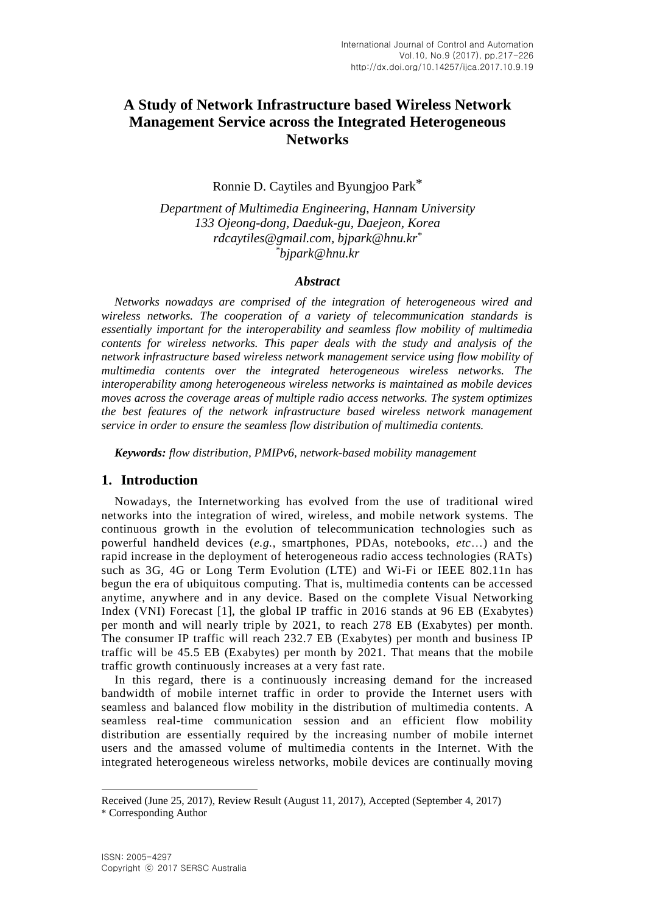# **A Study of Network Infrastructure based Wireless Network Management Service across the Integrated Heterogeneous Networks**

Ronnie D. Caytiles and Byungjoo Park\*

*Department of Multimedia Engineering, Hannam University 133 Ojeong-dong, Daeduk-gu, Daejeon, Korea rdcaytiles@gmail.com, bjpark@hnu.kr\* \*bjpark@hnu.kr*

#### *Abstract*

*Networks nowadays are comprised of the integration of heterogeneous wired and wireless networks. The cooperation of a variety of telecommunication standards is essentially important for the interoperability and seamless flow mobility of multimedia contents for wireless networks. This paper deals with the study and analysis of the network infrastructure based wireless network management service using flow mobility of multimedia contents over the integrated heterogeneous wireless networks. The interoperability among heterogeneous wireless networks is maintained as mobile devices moves across the coverage areas of multiple radio access networks. The system optimizes the best features of the network infrastructure based wireless network management service in order to ensure the seamless flow distribution of multimedia contents.* 

*Keywords: flow distribution, PMIPv6, network-based mobility management*

### **1. Introduction**

Nowadays, the Internetworking has evolved from the use of traditional wired networks into the integration of wired, wireless, and mobile network systems. The continuous growth in the evolution of telecommunication technologies such as powerful handheld devices (*e.g.*, smartphones, PDAs, notebooks, *etc*…) and the rapid increase in the deployment of heterogeneous radio access technologies (RATs) such as 3G, 4G or Long Term Evolution (LTE) and Wi-Fi or IEEE 802.11n has begun the era of ubiquitous computing. That is, multimedia contents can be accessed anytime, anywhere and in any device. Based on the complete Visual Networking Index (VNI) Forecast [1], the global IP traffic in 2016 stands at 96 EB (Exabytes) per month and will nearly triple by 2021, to reach 278 EB (Exabytes) per month. The consumer IP traffic will reach 232.7 EB (Exabytes) per month and business IP traffic will be 45.5 EB (Exabytes) per month by 2021. That means that the mobile traffic growth continuously increases at a very fast rate.

In this regard, there is a continuously increasing demand for the increased bandwidth of mobile internet traffic in order to provide the Internet users with seamless and balanced flow mobility in the distribution of multimedia contents. A seamless real-time communication session and an efficient flow mobility distribution are essentially required by the increasing number of mobile internet users and the amassed volume of multimedia contents in the Internet. With the integrated heterogeneous wireless networks, mobile devices are continually moving

 $\overline{a}$ 

Received (June 25, 2017), Review Result (August 11, 2017), Accepted (September 4, 2017) \* Corresponding Author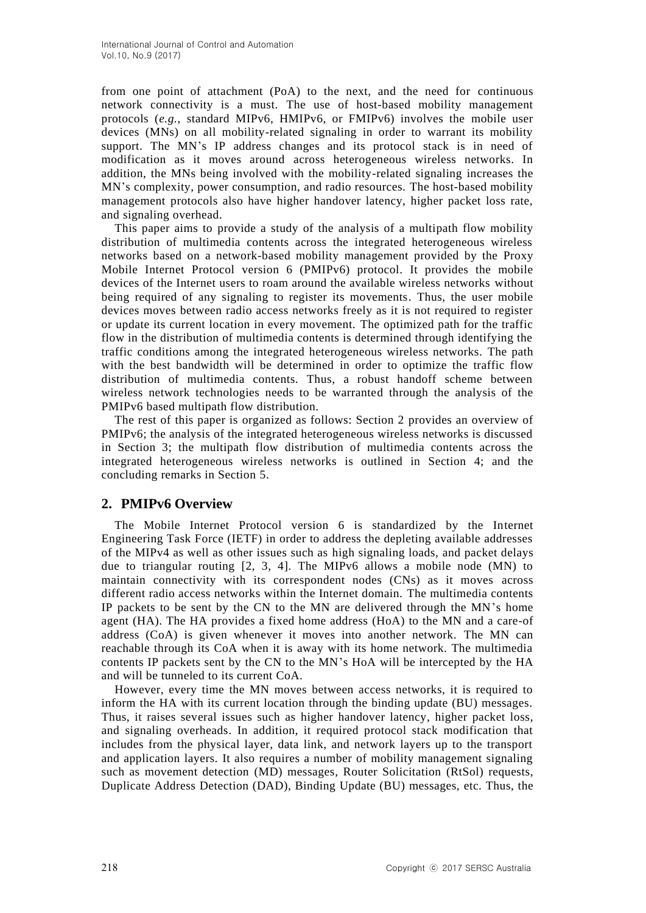from one point of attachment (PoA) to the next, and the need for continuous network connectivity is a must. The use of host-based mobility management protocols (*e.g.*, standard MIPv6, HMIPv6, or FMIPv6) involves the mobile user devices (MNs) on all mobility-related signaling in order to warrant its mobility support. The MN's IP address changes and its protocol stack is in need of modification as it moves around across heterogeneous wireless networks. In addition, the MNs being involved with the mobility-related signaling increases the MN's complexity, power consumption, and radio resources. The host-based mobility management protocols also have higher handover latency, higher packet loss rate, and signaling overhead.

This paper aims to provide a study of the analysis of a multipath flow mobility distribution of multimedia contents across the integrated heterogeneous wireless networks based on a network-based mobility management provided by the Proxy Mobile Internet Protocol version 6 (PMIPv6) protocol. It provides the mobile devices of the Internet users to roam around the available wireless networks without being required of any signaling to register its movements. Thus, the user mobile devices moves between radio access networks freely as it is not required to register or update its current location in every movement. The optimized path for the traffic flow in the distribution of multimedia contents is determined through identifying the traffic conditions among the integrated heterogeneous wireless networks. The path with the best bandwidth will be determined in order to optimize the traffic flow distribution of multimedia contents. Thus, a robust handoff scheme between wireless network technologies needs to be warranted through the analysis of the PMIPv6 based multipath flow distribution.

The rest of this paper is organized as follows: Section 2 provides an overview of PMIPv6; the analysis of the integrated heterogeneous wireless networks is discussed in Section 3; the multipath flow distribution of multimedia contents across the integrated heterogeneous wireless networks is outlined in Section 4; and the concluding remarks in Section 5.

### **2. PMIPv6 Overview**

The Mobile Internet Protocol version 6 is standardized by the Internet Engineering Task Force (IETF) in order to address the depleting available addresses of the MIPv4 as well as other issues such as high signaling loads, and packet delays due to triangular routing  $[2, 3, 4]$ . The MIPv6 allows a mobile node (MN) to maintain connectivity with its correspondent nodes (CNs) as it moves across different radio access networks within the Internet domain. The multimedia contents IP packets to be sent by the CN to the MN are delivered through the MN's home agent (HA). The HA provides a fixed home address (HoA) to the MN and a care-of address (CoA) is given whenever it moves into another network. The MN can reachable through its CoA when it is away with its home network. The multimedia contents IP packets sent by the CN to the MN's HoA will be intercepted by the HA and will be tunneled to its current CoA.

However, every time the MN moves between access networks, it is required to inform the HA with its current location through the binding update (BU) messages. Thus, it raises several issues such as higher handover latency, higher packet loss, and signaling overheads. In addition, it required protocol stack modification that includes from the physical layer, data link, and network layers up to the transport and application layers. It also requires a number of mobility management signaling such as movement detection (MD) messages, Router Solicitation (RtSol) requests, Duplicate Address Detection (DAD), Binding Update (BU) messages, etc. Thus, the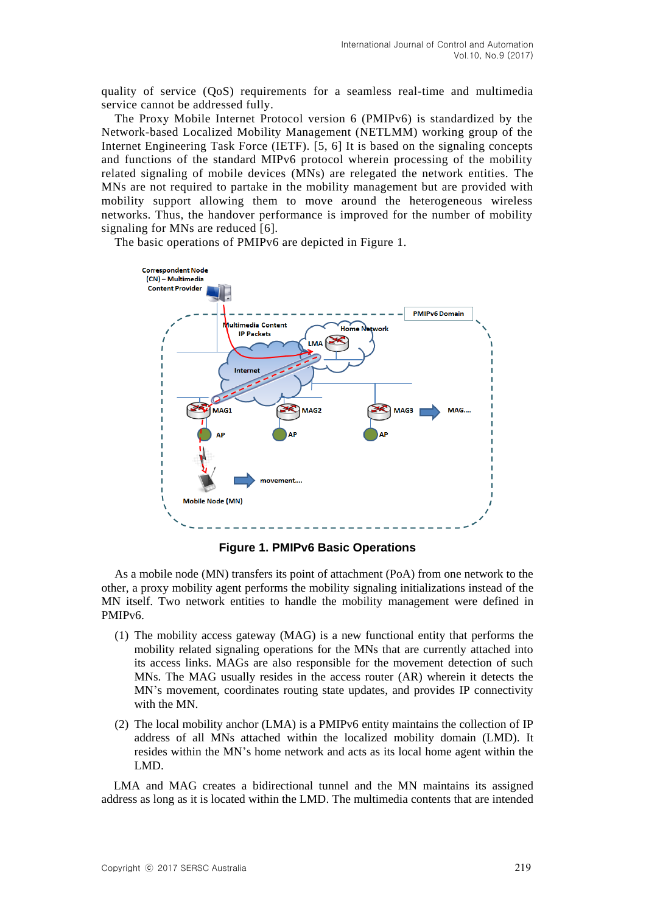quality of service (QoS) requirements for a seamless real-time and multimedia service cannot be addressed fully.

The Proxy Mobile Internet Protocol version 6 (PMIPv6) is standardized by the Network-based Localized Mobility Management (NETLMM) working group of the Internet Engineering Task Force (IETF). [5, 6] It is based on the signaling concepts and functions of the standard MIPv6 protocol wherein processing of the mobility related signaling of mobile devices (MNs) are relegated the network entities. The MNs are not required to partake in the mobility management but are provided with mobility support allowing them to move around the heterogeneous wireless networks. Thus, the handover performance is improved for the number of mobility signaling for MNs are reduced [6].

The basic operations of PMIPv6 are depicted in Figure 1.



**Figure 1. PMIPv6 Basic Operations**

As a mobile node (MN) transfers its point of attachment (PoA) from one network to the other, a proxy mobility agent performs the mobility signaling initializations instead of the MN itself. Two network entities to handle the mobility management were defined in PMIP<sub>v6</sub>.

- (1) The mobility access gateway (MAG) is a new functional entity that performs the mobility related signaling operations for the MNs that are currently attached into its access links. MAGs are also responsible for the movement detection of such MNs. The MAG usually resides in the access router (AR) wherein it detects the MN's movement, coordinates routing state updates, and provides IP connectivity with the MN.
- (2) The local mobility anchor (LMA) is a PMIPv6 entity maintains the collection of IP address of all MNs attached within the localized mobility domain (LMD). It resides within the MN's home network and acts as its local home agent within the LMD.

LMA and MAG creates a bidirectional tunnel and the MN maintains its assigned address as long as it is located within the LMD. The multimedia contents that are intended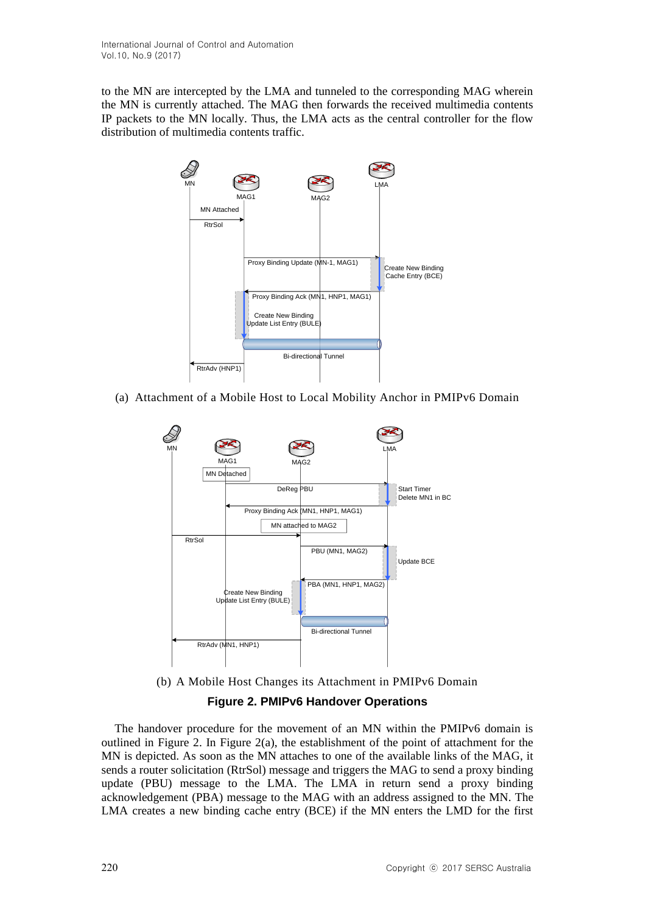to the MN are intercepted by the LMA and tunneled to the corresponding MAG wherein the MN is currently attached. The MAG then forwards the received multimedia contents IP packets to the MN locally. Thus, the LMA acts as the central controller for the flow distribution of multimedia contents traffic.



(a) Attachment of a Mobile Host to Local Mobility Anchor in PMIPv6 Domain



(b) A Mobile Host Changes its Attachment in PMIPv6 Domain

### **Figure 2. PMIPv6 Handover Operations**

The handover procedure for the movement of an MN within the PMIPv6 domain is outlined in Figure 2. In Figure 2(a), the establishment of the point of attachment for the MN is depicted. As soon as the MN attaches to one of the available links of the MAG, it sends a router solicitation (RtrSol) message and triggers the MAG to send a proxy binding update (PBU) message to the LMA. The LMA in return send a proxy binding acknowledgement (PBA) message to the MAG with an address assigned to the MN. The LMA creates a new binding cache entry (BCE) if the MN enters the LMD for the first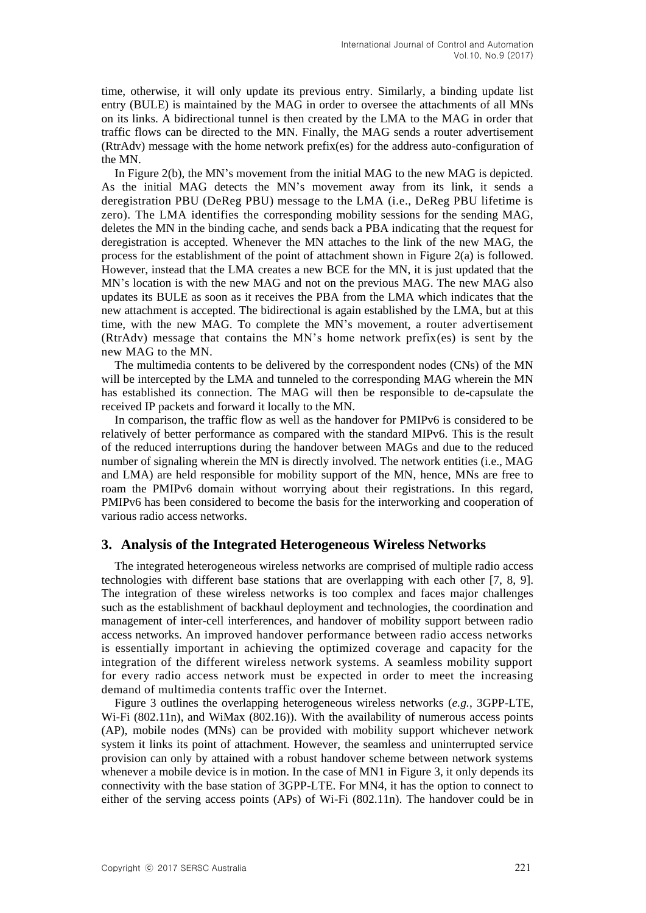time, otherwise, it will only update its previous entry. Similarly, a binding update list entry (BULE) is maintained by the MAG in order to oversee the attachments of all MNs on its links. A bidirectional tunnel is then created by the LMA to the MAG in order that traffic flows can be directed to the MN. Finally, the MAG sends a router advertisement (RtrAdv) message with the home network prefix(es) for the address auto-configuration of the MN.

In Figure 2(b), the MN's movement from the initial MAG to the new MAG is depicted. As the initial MAG detects the MN's movement away from its link, it sends a deregistration PBU (DeReg PBU) message to the LMA (i.e., DeReg PBU lifetime is zero). The LMA identifies the corresponding mobility sessions for the sending MAG, deletes the MN in the binding cache, and sends back a PBA indicating that the request for deregistration is accepted. Whenever the MN attaches to the link of the new MAG, the process for the establishment of the point of attachment shown in Figure 2(a) is followed. However, instead that the LMA creates a new BCE for the MN, it is just updated that the MN's location is with the new MAG and not on the previous MAG. The new MAG also updates its BULE as soon as it receives the PBA from the LMA which indicates that the new attachment is accepted. The bidirectional is again established by the LMA, but at this time, with the new MAG. To complete the MN's movement, a router advertisement (RtrAdv) message that contains the MN's home network prefix(es) is sent by the new MAG to the MN.

The multimedia contents to be delivered by the correspondent nodes (CNs) of the MN will be intercepted by the LMA and tunneled to the corresponding MAG wherein the MN has established its connection. The MAG will then be responsible to de-capsulate the received IP packets and forward it locally to the MN.

In comparison, the traffic flow as well as the handover for PMIPv6 is considered to be relatively of better performance as compared with the standard MIPv6. This is the result of the reduced interruptions during the handover between MAGs and due to the reduced number of signaling wherein the MN is directly involved. The network entities (i.e., MAG and LMA) are held responsible for mobility support of the MN, hence, MNs are free to roam the PMIPv6 domain without worrying about their registrations. In this regard, PMIPv6 has been considered to become the basis for the interworking and cooperation of various radio access networks.

### **3. Analysis of the Integrated Heterogeneous Wireless Networks**

The integrated heterogeneous wireless networks are comprised of multiple radio access technologies with different base stations that are overlapping with each other [7, 8, 9]. The integration of these wireless networks is too complex and faces major challenges such as the establishment of backhaul deployment and technologies, the coordination and management of inter-cell interferences, and handover of mobility support between radio access networks. An improved handover performance between radio access networks is essentially important in achieving the optimized coverage and capacity for the integration of the different wireless network systems. A seamless mobility support for every radio access network must be expected in order to meet the increasing demand of multimedia contents traffic over the Internet.

Figure 3 outlines the overlapping heterogeneous wireless networks (*e.g.*, 3GPP-LTE, Wi-Fi (802.11n), and WiMax (802.16)). With the availability of numerous access points (AP), mobile nodes (MNs) can be provided with mobility support whichever network system it links its point of attachment. However, the seamless and uninterrupted service provision can only by attained with a robust handover scheme between network systems whenever a mobile device is in motion. In the case of MN1 in Figure 3, it only depends its connectivity with the base station of 3GPP-LTE. For MN4, it has the option to connect to either of the serving access points (APs) of Wi-Fi (802.11n). The handover could be in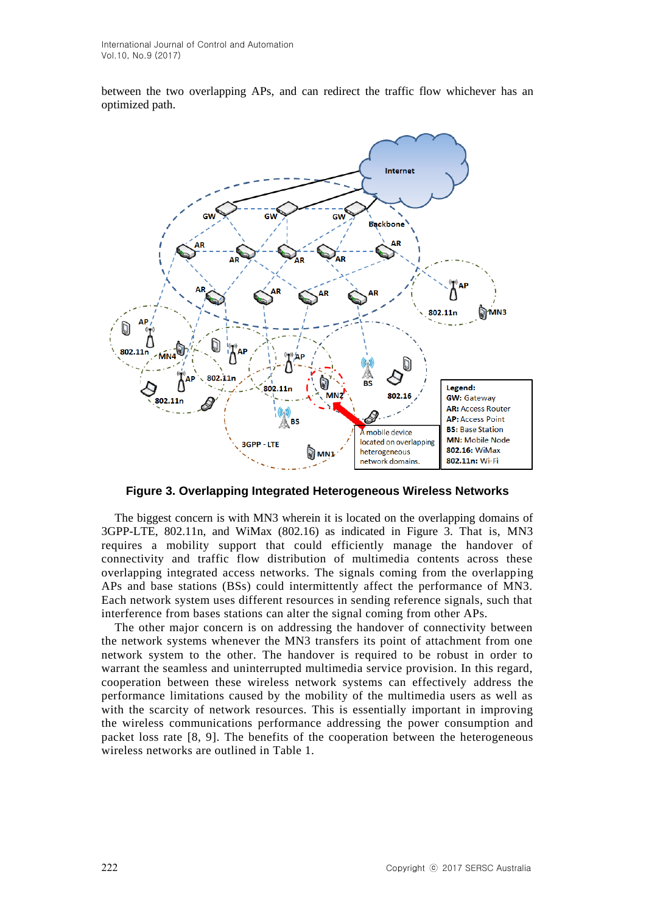between the two overlapping APs, and can redirect the traffic flow whichever has an optimized path.



**Figure 3. Overlapping Integrated Heterogeneous Wireless Networks**

The biggest concern is with MN3 wherein it is located on the overlapping domains of 3GPP-LTE, 802.11n, and WiMax (802.16) as indicated in Figure 3. That is, MN3 requires a mobility support that could efficiently manage the handover of connectivity and traffic flow distribution of multimedia contents across these overlapping integrated access networks. The signals coming from the overlapping APs and base stations (BSs) could intermittently affect the performance of MN3. Each network system uses different resources in sending reference signals, such that interference from bases stations can alter the signal coming from other APs.

The other major concern is on addressing the handover of connectivity between the network systems whenever the MN3 transfers its point of attachment from one network system to the other. The handover is required to be robust in order to warrant the seamless and uninterrupted multimedia service provision. In this regard, cooperation between these wireless network systems can effectively address the performance limitations caused by the mobility of the multimedia users as well as with the scarcity of network resources. This is essentially important in improving the wireless communications performance addressing the power consumption and packet loss rate [8, 9]. The benefits of the cooperation between the heterogeneous wireless networks are outlined in Table 1.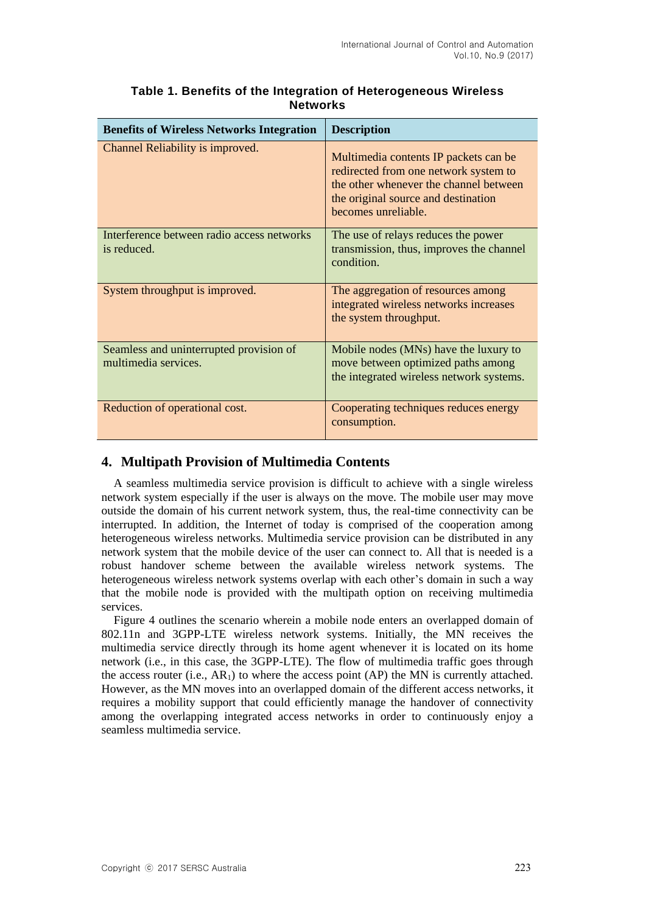| <b>Benefits of Wireless Networks Integration</b>                | <b>Description</b>                                                                                                                                                                     |
|-----------------------------------------------------------------|----------------------------------------------------------------------------------------------------------------------------------------------------------------------------------------|
| Channel Reliability is improved.                                | Multimedia contents IP packets can be<br>redirected from one network system to<br>the other whenever the channel between<br>the original source and destination<br>becomes unreliable. |
| Interference between radio access networks<br>is reduced.       | The use of relays reduces the power<br>transmission, thus, improves the channel<br>condition.                                                                                          |
| System throughput is improved.                                  | The aggregation of resources among<br>integrated wireless networks increases<br>the system throughput.                                                                                 |
| Seamless and uninterrupted provision of<br>multimedia services. | Mobile nodes (MNs) have the luxury to<br>move between optimized paths among<br>the integrated wireless network systems.                                                                |
| Reduction of operational cost.                                  | Cooperating techniques reduces energy<br>consumption.                                                                                                                                  |

### **Table 1. Benefits of the Integration of Heterogeneous Wireless Networks**

# **4. Multipath Provision of Multimedia Contents**

A seamless multimedia service provision is difficult to achieve with a single wireless network system especially if the user is always on the move. The mobile user may move outside the domain of his current network system, thus, the real-time connectivity can be interrupted. In addition, the Internet of today is comprised of the cooperation among heterogeneous wireless networks. Multimedia service provision can be distributed in any network system that the mobile device of the user can connect to. All that is needed is a robust handover scheme between the available wireless network systems. The heterogeneous wireless network systems overlap with each other's domain in such a way that the mobile node is provided with the multipath option on receiving multimedia services.

Figure 4 outlines the scenario wherein a mobile node enters an overlapped domain of 802.11n and 3GPP-LTE wireless network systems. Initially, the MN receives the multimedia service directly through its home agent whenever it is located on its home network (i.e., in this case, the 3GPP-LTE). The flow of multimedia traffic goes through the access router (i.e.,  $AR_1$ ) to where the access point (AP) the MN is currently attached. However, as the MN moves into an overlapped domain of the different access networks, it requires a mobility support that could efficiently manage the handover of connectivity among the overlapping integrated access networks in order to continuously enjoy a seamless multimedia service.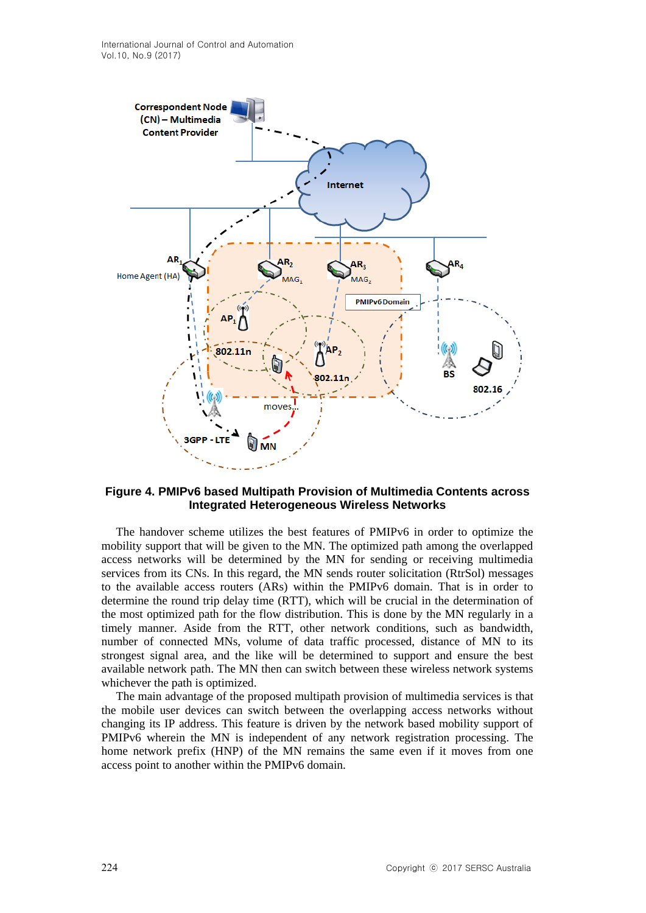

#### **Figure 4. PMIPv6 based Multipath Provision of Multimedia Contents across Integrated Heterogeneous Wireless Networks**

The handover scheme utilizes the best features of PMIPv6 in order to optimize the mobility support that will be given to the MN. The optimized path among the overlapped access networks will be determined by the MN for sending or receiving multimedia services from its CNs. In this regard, the MN sends router solicitation (RtrSol) messages to the available access routers (ARs) within the PMIPv6 domain. That is in order to determine the round trip delay time (RTT), which will be crucial in the determination of the most optimized path for the flow distribution. This is done by the MN regularly in a timely manner. Aside from the RTT, other network conditions, such as bandwidth, number of connected MNs, volume of data traffic processed, distance of MN to its strongest signal area, and the like will be determined to support and ensure the best available network path. The MN then can switch between these wireless network systems whichever the path is optimized.

The main advantage of the proposed multipath provision of multimedia services is that the mobile user devices can switch between the overlapping access networks without changing its IP address. This feature is driven by the network based mobility support of PMIPv6 wherein the MN is independent of any network registration processing. The home network prefix (HNP) of the MN remains the same even if it moves from one access point to another within the PMIPv6 domain.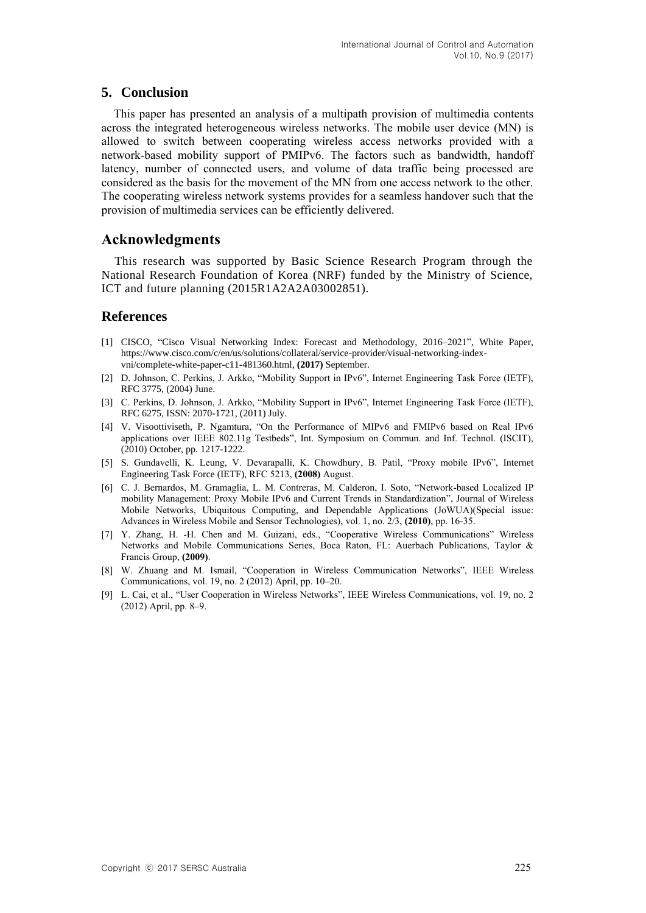### **5. Conclusion**

This paper has presented an analysis of a multipath provision of multimedia contents across the integrated heterogeneous wireless networks. The mobile user device (MN) is allowed to switch between cooperating wireless access networks provided with a network-based mobility support of PMIPv6. The factors such as bandwidth, handoff latency, number of connected users, and volume of data traffic being processed are considered as the basis for the movement of the MN from one access network to the other. The cooperating wireless network systems provides for a seamless handover such that the provision of multimedia services can be efficiently delivered.

## **Acknowledgments**

This research was supported by Basic Science Research Program through the National Research Foundation of Korea (NRF) funded by the Ministry of Science, ICT and future planning (2015R1A2A2A03002851).

### **References**

- [1] CISCO, "Cisco Visual Networking Index: Forecast and Methodology, 2016–2021", White Paper, https://www.cisco.com/c/en/us/solutions/collateral/service-provider/visual-networking-indexvni/complete-white-paper-c11-481360.html, **(2017)** September.
- [2] D. Johnson, C. Perkins, J. Arkko, "Mobility Support in IPv6", Internet Engineering Task Force (IETF), RFC 3775, (2004) June.
- [3] C. Perkins, D. Johnson, J. Arkko, "Mobility Support in IPv6", Internet Engineering Task Force (IETF), RFC 6275, ISSN: 2070-1721, (2011) July.
- [4] V. Visoottiviseth, P. Ngamtura, "On the Performance of MIPv6 and FMIPv6 based on Real IPv6 applications over IEEE 802.11g Testbeds", Int. Symposium on Commun. and Inf. Technol. (ISCIT), (2010) October, pp. 1217-1222.
- [5] S. Gundavelli, K. Leung, V. Devarapalli, K. Chowdhury, B. Patil, "Proxy mobile IPv6", Internet Engineering Task Force (IETF), RFC 5213, **(2008)** August.
- [6] C. J. Bernardos, M. Gramaglia, L. M. Contreras, M. Calderon, I. Soto, "Network-based Localized IP mobility Management: Proxy Mobile IPv6 and Current Trends in Standardization", Journal of Wireless Mobile Networks, Ubiquitous Computing, and Dependable Applications (JoWUA)(Special issue: Advances in Wireless Mobile and Sensor Technologies), vol. 1, no. 2/3, **(2010)**, pp. 16-35.
- [7] Y. Zhang, H. -H. Chen and M. Guizani, eds., "Cooperative Wireless Communications" Wireless Networks and Mobile Communications Series, Boca Raton, FL: Auerbach Publications, Taylor & Francis Group, **(2009)**.
- [8] W. Zhuang and M. Ismail, "Cooperation in Wireless Communication Networks", IEEE Wireless Communications, vol. 19, no. 2 (2012) April, pp. 10–20.
- [9] L. Cai, et al., "User Cooperation in Wireless Networks", IEEE Wireless Communications, vol. 19, no. 2 (2012) April, pp. 8–9.